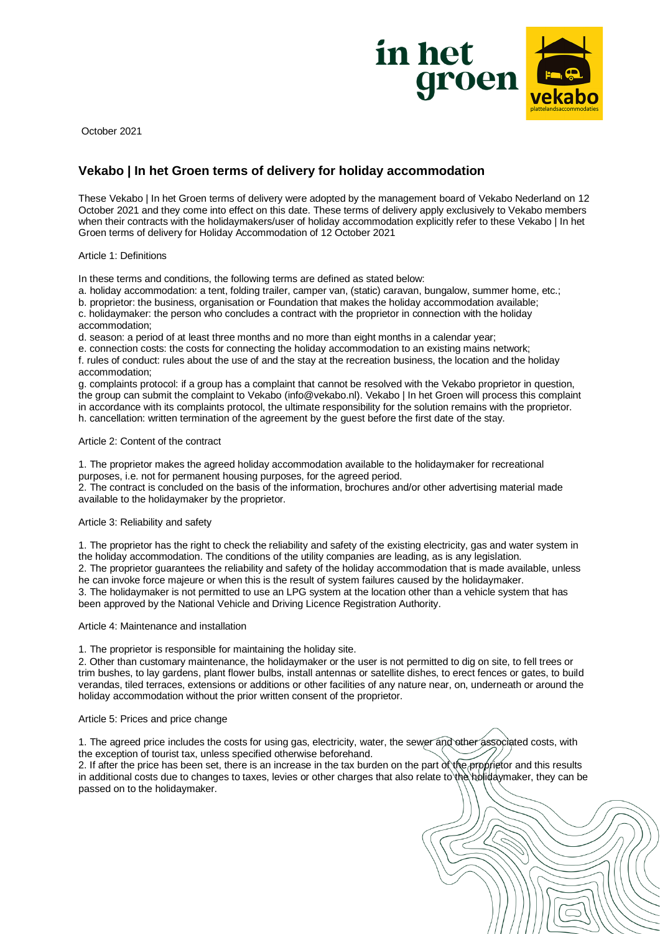

October 2021

# **Vekabo | In het Groen terms of delivery for holiday accommodation**

These Vekabo | In het Groen terms of delivery were adopted by the management board of Vekabo Nederland on 12 October 2021 and they come into effect on this date. These terms of delivery apply exclusively to Vekabo members when their contracts with the holidaymakers/user of holiday accommodation explicitly refer to these Vekabo | In het Groen terms of delivery for Holiday Accommodation of 12 October 2021

## Article 1: Definitions

In these terms and conditions, the following terms are defined as stated below:

a. holiday accommodation: a tent, folding trailer, camper van, (static) caravan, bungalow, summer home, etc.;

b. proprietor: the business, organisation or Foundation that makes the holiday accommodation available;

c. holidaymaker: the person who concludes a contract with the proprietor in connection with the holiday accommodation;

d. season: a period of at least three months and no more than eight months in a calendar year;

e. connection costs: the costs for connecting the holiday accommodation to an existing mains network;

f. rules of conduct: rules about the use of and the stay at the recreation business, the location and the holiday accommodation;

g. complaints protocol: if a group has a complaint that cannot be resolved with the Vekabo proprietor in question, the group can submit the complaint to Vekabo (info@vekabo.nl). Vekabo | In het Groen will process this complaint in accordance with its complaints protocol, the ultimate responsibility for the solution remains with the proprietor. h. cancellation: written termination of the agreement by the guest before the first date of the stay.

## Article 2: Content of the contract

1. The proprietor makes the agreed holiday accommodation available to the holidaymaker for recreational purposes, i.e. not for permanent housing purposes, for the agreed period.

2. The contract is concluded on the basis of the information, brochures and/or other advertising material made available to the holidaymaker by the proprietor.

## Article 3: Reliability and safety

1. The proprietor has the right to check the reliability and safety of the existing electricity, gas and water system in the holiday accommodation. The conditions of the utility companies are leading, as is any legislation. 2. The proprietor guarantees the reliability and safety of the holiday accommodation that is made available, unless he can invoke force majeure or when this is the result of system failures caused by the holidaymaker.

3. The holidaymaker is not permitted to use an LPG system at the location other than a vehicle system that has been approved by the National Vehicle and Driving Licence Registration Authority.

## Article 4: Maintenance and installation

1. The proprietor is responsible for maintaining the holiday site.

2. Other than customary maintenance, the holidaymaker or the user is not permitted to dig on site, to fell trees or trim bushes, to lay gardens, plant flower bulbs, install antennas or satellite dishes, to erect fences or gates, to build verandas, tiled terraces, extensions or additions or other facilities of any nature near, on, underneath or around the holiday accommodation without the prior written consent of the proprietor.

## Article 5: Prices and price change

1. The agreed price includes the costs for using gas, electricity, water, the sewer and other associated costs, with the exception of tourist tax, unless specified otherwise beforehand.

2. If after the price has been set, there is an increase in the tax burden on the part of the proprietor and this results in additional costs due to changes to taxes, levies or other charges that also relate to the holidaymaker, they can be passed on to the holidaymaker.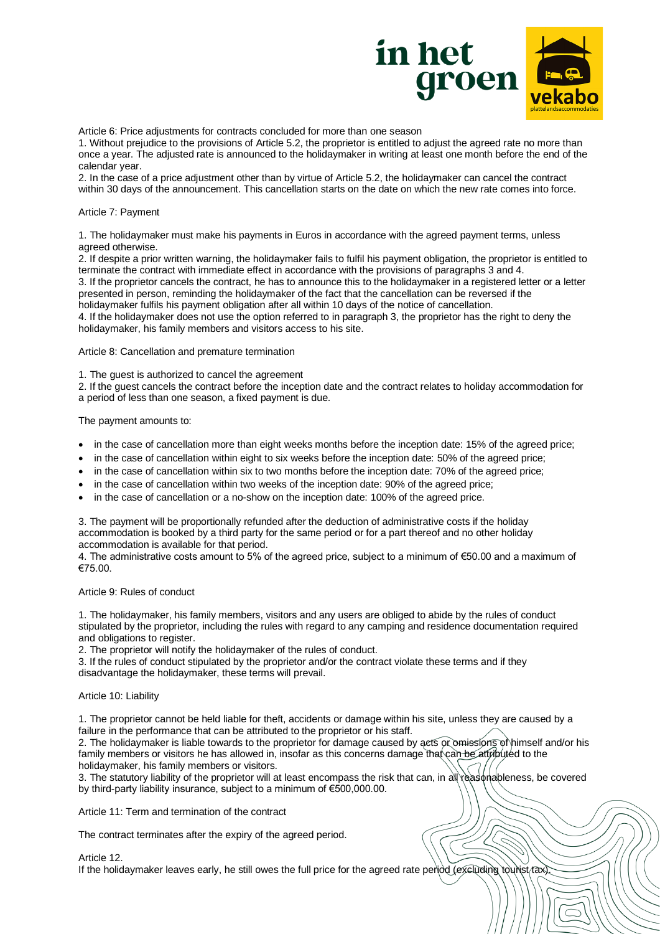

Article 6: Price adjustments for contracts concluded for more than one season

1. Without prejudice to the provisions of Article 5.2, the proprietor is entitled to adjust the agreed rate no more than once a year. The adjusted rate is announced to the holidaymaker in writing at least one month before the end of the calendar year.

2. In the case of a price adjustment other than by virtue of Article 5.2, the holidaymaker can cancel the contract within 30 days of the announcement. This cancellation starts on the date on which the new rate comes into force.

#### Article 7: Payment

1. The holidaymaker must make his payments in Euros in accordance with the agreed payment terms, unless agreed otherwise.

2. If despite a prior written warning, the holidaymaker fails to fulfil his payment obligation, the proprietor is entitled to terminate the contract with immediate effect in accordance with the provisions of paragraphs 3 and 4. 3. If the proprietor cancels the contract, he has to announce this to the holidaymaker in a registered letter or a letter

presented in person, reminding the holidaymaker of the fact that the cancellation can be reversed if the holidaymaker fulfils his payment obligation after all within 10 days of the notice of cancellation.

4. If the holidaymaker does not use the option referred to in paragraph 3, the proprietor has the right to deny the holidaymaker, his family members and visitors access to his site.

Article 8: Cancellation and premature termination

1. The guest is authorized to cancel the agreement

2. If the guest cancels the contract before the inception date and the contract relates to holiday accommodation for a period of less than one season, a fixed payment is due.

The payment amounts to:

- in the case of cancellation more than eight weeks months before the inception date: 15% of the agreed price;
- in the case of cancellation within eight to six weeks before the inception date: 50% of the agreed price;
- in the case of cancellation within six to two months before the inception date: 70% of the agreed price;
- in the case of cancellation within two weeks of the inception date: 90% of the agreed price;
- in the case of cancellation or a no-show on the inception date: 100% of the agreed price.

3. The payment will be proportionally refunded after the deduction of administrative costs if the holiday accommodation is booked by a third party for the same period or for a part thereof and no other holiday accommodation is available for that period.

4. The administrative costs amount to 5% of the agreed price, subject to a minimum of €50.00 and a maximum of €75.00.

Article 9: Rules of conduct

1. The holidaymaker, his family members, visitors and any users are obliged to abide by the rules of conduct stipulated by the proprietor, including the rules with regard to any camping and residence documentation required and obligations to register.

2. The proprietor will notify the holidaymaker of the rules of conduct.

3. If the rules of conduct stipulated by the proprietor and/or the contract violate these terms and if they disadvantage the holidaymaker, these terms will prevail.

## Article 10: Liability

1. The proprietor cannot be held liable for theft, accidents or damage within his site, unless they are caused by a failure in the performance that can be attributed to the proprietor or his staff.

2. The holidaymaker is liable towards to the proprietor for damage caused by acts or omissions of himself and/or his family members or visitors he has allowed in, insofar as this concerns damage that can be attributed to the holidaymaker, his family members or visitors.

3. The statutory liability of the proprietor will at least encompass the risk that can, in all reasonableness, be covered by third-party liability insurance, subject to a minimum of €500,000.00.

Article 11: Term and termination of the contract

The contract terminates after the expiry of the agreed period.

Article 12.

If the holidaymaker leaves early, he still owes the full price for the agreed rate period (excluding tourist tax).